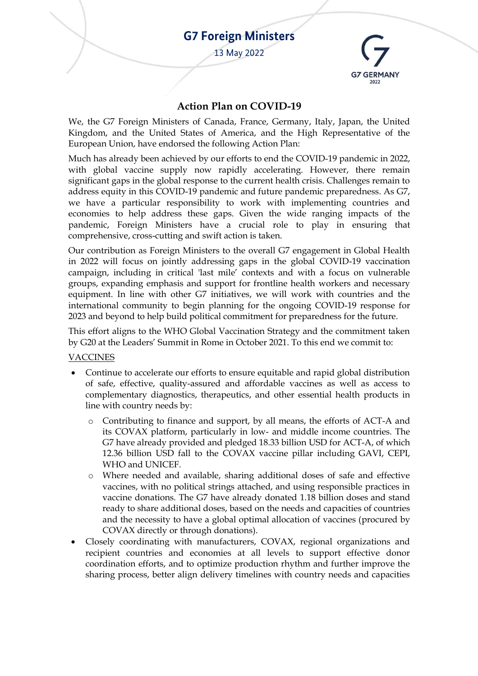# **G7 Foreign Ministers**

13 May 2022



## **Action Plan on COVID-19**

We, the G7 Foreign Ministers of Canada, France, Germany, Italy, Japan, the United Kingdom, and the United States of America, and the High Representative of the European Union, have endorsed the following Action Plan:

Much has already been achieved by our efforts to end the COVID-19 pandemic in 2022, with global vaccine supply now rapidly accelerating. However, there remain significant gaps in the global response to the current health crisis. Challenges remain to address equity in this COVID-19 pandemic and future pandemic preparedness. As G7, we have a particular responsibility to work with implementing countries and economies to help address these gaps. Given the wide ranging impacts of the pandemic, Foreign Ministers have a crucial role to play in ensuring that comprehensive, cross-cutting and swift action is taken.

Our contribution as Foreign Ministers to the overall G7 engagement in Global Health in 2022 will focus on jointly addressing gaps in the global COVID-19 vaccination campaign, including in critical 'last mile' contexts and with a focus on vulnerable groups, expanding emphasis and support for frontline health workers and necessary equipment. In line with other G7 initiatives, we will work with countries and the international community to begin planning for the ongoing COVID-19 response for 2023 and beyond to help build political commitment for preparedness for the future.

This effort aligns to the WHO Global Vaccination Strategy and the commitment taken by G20 at the Leaders' Summit in Rome in October 2021. To this end we commit to:

#### VACCINES

- Continue to accelerate our efforts to ensure equitable and rapid global distribution of safe, effective, quality-assured and affordable vaccines as well as access to complementary diagnostics, therapeutics, and other essential health products in line with country needs by:
	- Contributing to finance and support, by all means, the efforts of ACT-A and its COVAX platform, particularly in low- and middle income countries. The G7 have already provided and pledged 18.33 billion USD for ACT-A, of which 12.36 billion USD fall to the COVAX vaccine pillar including GAVI, CEPI, WHO and UNICEF.
	- o Where needed and available, sharing additional doses of safe and effective vaccines, with no political strings attached, and using responsible practices in vaccine donations. The G7 have already donated 1.18 billion doses and stand ready to share additional doses, based on the needs and capacities of countries and the necessity to have a global optimal allocation of vaccines (procured by COVAX directly or through donations).
- Closely coordinating with manufacturers, COVAX, regional organizations and recipient countries and economies at all levels to support effective donor coordination efforts, and to optimize production rhythm and further improve the sharing process, better align delivery timelines with country needs and capacities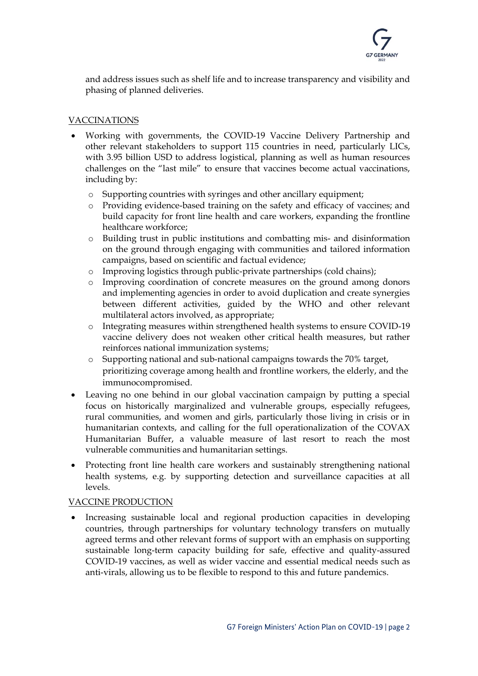

and address issues such as shelf life and to increase transparency and visibility and phasing of planned deliveries.

### VACCINATIONS

- Working with governments, the COVID-19 Vaccine Delivery Partnership and other relevant stakeholders to support 115 countries in need, particularly LICs, with 3.95 billion USD to address logistical, planning as well as human resources challenges on the "last mile" to ensure that vaccines become actual vaccinations, including by:
	- o Supporting countries with syringes and other ancillary equipment;
	- o Providing evidence-based training on the safety and efficacy of vaccines; and build capacity for front line health and care workers, expanding the frontline healthcare workforce;
	- o Building trust in public institutions and combatting mis- and disinformation on the ground through engaging with communities and tailored information campaigns, based on scientific and factual evidence;
	- o Improving logistics through public-private partnerships (cold chains);
	- o Improving coordination of concrete measures on the ground among donors and implementing agencies in order to avoid duplication and create synergies between different activities, guided by the WHO and other relevant multilateral actors involved, as appropriate;
	- o Integrating measures within strengthened health systems to ensure COVID-19 vaccine delivery does not weaken other critical health measures, but rather reinforces national immunization systems;
	- o Supporting national and sub-national campaigns towards the 70% target, prioritizing coverage among health and frontline workers, the elderly, and the immunocompromised.
- Leaving no one behind in our global vaccination campaign by putting a special focus on historically marginalized and vulnerable groups, especially refugees, rural communities, and women and girls, particularly those living in crisis or in humanitarian contexts, and calling for the full operationalization of the COVAX Humanitarian Buffer, a valuable measure of last resort to reach the most vulnerable communities and humanitarian settings.
- Protecting front line health care workers and sustainably strengthening national health systems, e.g. by supporting detection and surveillance capacities at all levels.

#### VACCINE PRODUCTION

• Increasing sustainable local and regional production capacities in developing countries, through partnerships for voluntary technology transfers on mutually agreed terms and other relevant forms of support with an emphasis on supporting sustainable long-term capacity building for safe, effective and quality-assured COVID-19 vaccines, as well as wider vaccine and essential medical needs such as anti-virals, allowing us to be flexible to respond to this and future pandemics.